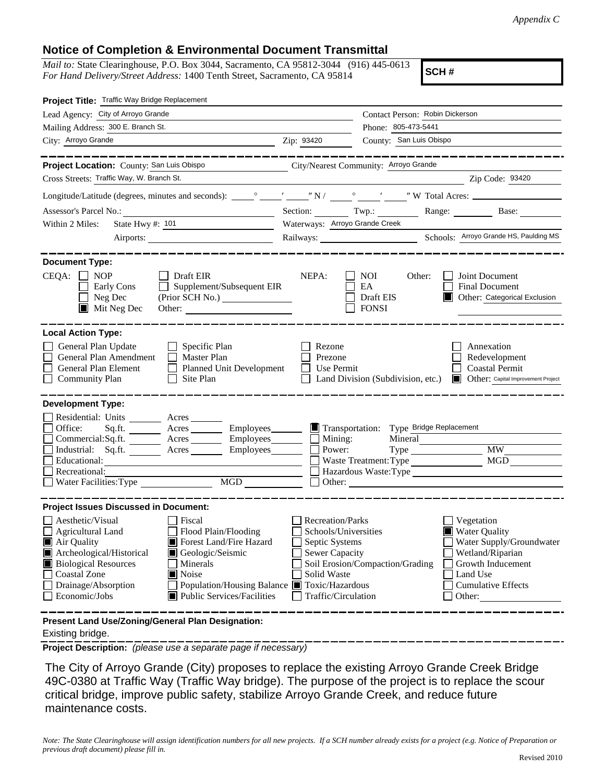## **Notice of Completion & Environmental Document Transmittal**

*Mail to:* State Clearinghouse, P.O. Box 3044, Sacramento, CA 95812-3044 (916) 445-0613 *For Hand Delivery/Street Address:* 1400 Tenth Street, Sacramento, CA 95814

**SCH #**

| Project Title: Traffic Way Bridge Replacement                                                                                                                                                                                                                                                                                                                                                             |                                                                                                                    |                                                            |                                                                                                                                                     |  |
|-----------------------------------------------------------------------------------------------------------------------------------------------------------------------------------------------------------------------------------------------------------------------------------------------------------------------------------------------------------------------------------------------------------|--------------------------------------------------------------------------------------------------------------------|------------------------------------------------------------|-----------------------------------------------------------------------------------------------------------------------------------------------------|--|
| Lead Agency: City of Arroyo Grande                                                                                                                                                                                                                                                                                                                                                                        |                                                                                                                    | Contact Person: Robin Dickerson                            |                                                                                                                                                     |  |
| Mailing Address: 300 E. Branch St.                                                                                                                                                                                                                                                                                                                                                                        |                                                                                                                    | Phone: 805-473-5441                                        |                                                                                                                                                     |  |
| City: Arroyo Grande                                                                                                                                                                                                                                                                                                                                                                                       | Zip: 93420                                                                                                         | County: San Luis Obispo                                    |                                                                                                                                                     |  |
|                                                                                                                                                                                                                                                                                                                                                                                                           |                                                                                                                    |                                                            |                                                                                                                                                     |  |
| Project Location: County: San Luis Obispo                                                                                                                                                                                                                                                                                                                                                                 |                                                                                                                    | City/Nearest Community: Arroyo Grande                      |                                                                                                                                                     |  |
| Cross Streets: Traffic Way, W. Branch St.                                                                                                                                                                                                                                                                                                                                                                 |                                                                                                                    |                                                            | Zip Code: 93420                                                                                                                                     |  |
|                                                                                                                                                                                                                                                                                                                                                                                                           |                                                                                                                    |                                                            |                                                                                                                                                     |  |
| Assessor's Parcel No.:<br><u> 1980 - Johann Barbara, martxa alemaniar a</u>                                                                                                                                                                                                                                                                                                                               |                                                                                                                    |                                                            | Section: Twp.: Range: Base:                                                                                                                         |  |
| State Hwy #: 101<br>Within 2 Miles:                                                                                                                                                                                                                                                                                                                                                                       | Waterways: Arroyo Grande Creek                                                                                     |                                                            |                                                                                                                                                     |  |
|                                                                                                                                                                                                                                                                                                                                                                                                           |                                                                                                                    |                                                            |                                                                                                                                                     |  |
|                                                                                                                                                                                                                                                                                                                                                                                                           |                                                                                                                    |                                                            |                                                                                                                                                     |  |
| <b>Document Type:</b><br>$CEQA: \Box NP$<br>Draft EIR<br>Supplement/Subsequent EIR<br>Early Cons<br>$\Box$ Neg Dec<br>$\blacksquare$ Mit Neg Dec<br>Other:                                                                                                                                                                                                                                                | NEPA:                                                                                                              | NOI.<br>Other:<br>EA<br>Draft EIS<br><b>FONSI</b>          | Joint Document<br><b>Final Document</b><br>Other: Categorical Exclusion                                                                             |  |
| <b>Local Action Type:</b><br>General Plan Update<br>$\Box$ Specific Plan<br>General Plan Amendment<br>$\Box$ Master Plan<br>General Plan Element<br>Planned Unit Development<br>Site Plan<br><b>Community Plan</b>                                                                                                                                                                                        | Rezone<br>Prezone<br>Use Permit                                                                                    | Land Division (Subdivision, etc.)                          | Annexation<br>Redevelopment<br><b>Coastal Permit</b><br>Other: Capital Improvement Project                                                          |  |
| <b>Development Type:</b>                                                                                                                                                                                                                                                                                                                                                                                  |                                                                                                                    |                                                            |                                                                                                                                                     |  |
| Residential: Units ________ Acres ______<br>Office:<br>Sq.fit.<br>Commercial:Sq.ft. ________ Acres _______<br>Industrial: Sq.ft. _______ Acres ______<br>Employees________                                                                                                                                                                                                                                | $\blacksquare$ Mining:<br>Power:                                                                                   | Transportation: Type Bridge Replacement<br>Mineral<br>Type | <b>MW</b>                                                                                                                                           |  |
| Educational:                                                                                                                                                                                                                                                                                                                                                                                              |                                                                                                                    | Waste Treatment: Type                                      | <b>MGD</b>                                                                                                                                          |  |
| Recreational:                                                                                                                                                                                                                                                                                                                                                                                             |                                                                                                                    |                                                            |                                                                                                                                                     |  |
| MGD<br>Water Facilities: Type                                                                                                                                                                                                                                                                                                                                                                             |                                                                                                                    | Other:                                                     |                                                                                                                                                     |  |
| <b>Project Issues Discussed in Document:</b>                                                                                                                                                                                                                                                                                                                                                              |                                                                                                                    |                                                            |                                                                                                                                                     |  |
| $\Box$ Aesthetic/Visual<br><b>Fiscal</b><br>Flood Plain/Flooding<br>Agricultural Land<br>Forest Land/Fire Hazard<br>$\blacksquare$ Air Quality<br>Archeological/Historical<br>Geologic/Seismic<br><b>Biological Resources</b><br>Minerals<br>Coastal Zone<br>$\blacksquare$ Noise<br>Drainage/Absorption<br>Population/Housing Balance ■ Toxic/Hazardous<br>Economic/Jobs<br>■ Public Services/Facilities | Recreation/Parks<br>Schools/Universities<br>Septic Systems<br>Sewer Capacity<br>Solid Waste<br>Traffic/Circulation | Soil Erosion/Compaction/Grading                            | Vegetation<br>Water Quality<br>Water Supply/Groundwater<br>Wetland/Riparian<br>Growth Inducement<br>Land Use<br><b>Cumulative Effects</b><br>Other: |  |
| Present Land Use/Zoning/General Plan Designation:                                                                                                                                                                                                                                                                                                                                                         |                                                                                                                    |                                                            |                                                                                                                                                     |  |

Existing bridge.

**Project Description:** *(please use a separate page if necessary)*

 The City of Arroyo Grande (City) proposes to replace the existing Arroyo Grande Creek Bridge 49C-0380 at Traffic Way (Traffic Way bridge). The purpose of the project is to replace the scour critical bridge, improve public safety, stabilize Arroyo Grande Creek, and reduce future maintenance costs.

*Note: The State Clearinghouse will assign identification numbers for all new projects. If a SCH number already exists for a project (e.g. Notice of Preparation or previous draft document) please fill in.*